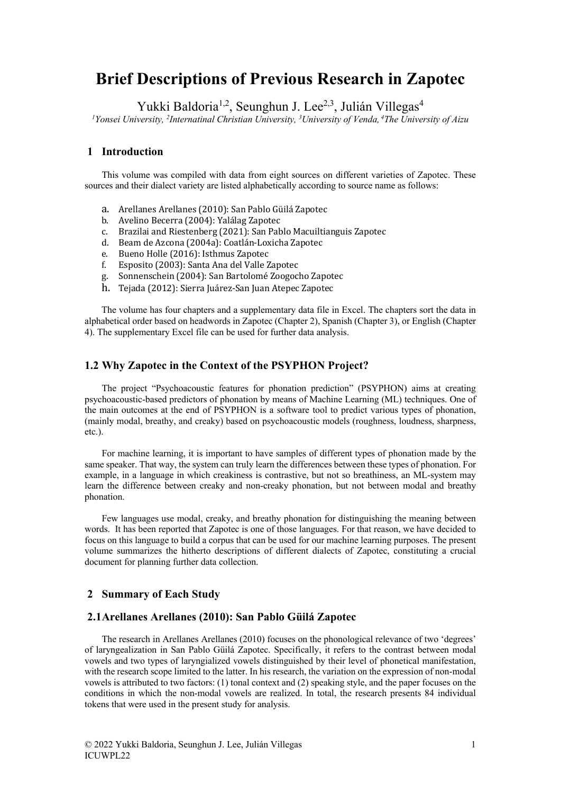# **Brief Descriptions of Previous Research in Zapotec**

Yukki Baldoria<sup>1,2</sup>, Seunghun J. Lee<sup>2,3</sup>, Julián Villegas<sup>4</sup>

*1 Yonsei University, 2 Internatinal Christian University, 3 University of Venda, <sup>4</sup> The University of Aizu*

## **1 Introduction**

This volume was compiled with data from eight sources on different varieties of Zapotec. These sources and their dialect variety are listed alphabetically according to source name as follows:

- a. Arellanes Arellanes (2010): San Pablo Güilá Zapotec
- b. Avelino Becerra (2004): Yalálag Zapotec
- c. Brazilai and Riestenberg (2021): San Pablo Macuiltianguis Zapotec
- d. Beam de Azcona (2004a): Coatlán-Loxicha Zapotec
- e. Bueno Holle (2016): Isthmus Zapotec
- f. Esposito (2003): Santa Ana del Valle Zapotec
- g. Sonnenschein (2004): San Bartolomé Zoogocho Zapotec
- h. Tejada (2012): Sierra Juárez-San Juan Atepec Zapotec

The volume has four chapters and a supplementary data file in Excel. The chapters sort the data in alphabetical order based on headwords in Zapotec (Chapter 2), Spanish (Chapter 3), or English (Chapter 4). The supplementary Excel file can be used for further data analysis.

## **1.2 Why Zapotec in the Context of the PSYPHON Project?**

The project "Psychoacoustic features for phonation prediction" (PSYPHON) aims at creating psychoacoustic-based predictors of phonation by means of Machine Learning (ML) techniques. One of the main outcomes at the end of PSYPHON is a software tool to predict various types of phonation, (mainly modal, breathy, and creaky) based on psychoacoustic models (roughness, loudness, sharpness, etc.).

For machine learning, it is important to have samples of different types of phonation made by the same speaker. That way, the system can truly learn the differences between these types of phonation. For example, in a language in which creakiness is contrastive, but not so breathiness, an ML-system may learn the difference between creaky and non-creaky phonation, but not between modal and breathy phonation.

Few languages use modal, creaky, and breathy phonation for distinguishing the meaning between words. It has been reported that Zapotec is one of those languages. For that reason, we have decided to focus on this language to build a corpus that can be used for our machine learning purposes. The present volume summarizes the hitherto descriptions of different dialects of Zapotec, constituting a crucial document for planning further data collection.

## **2 Summary of Each Study**

# **2.1Arellanes Arellanes (2010): San Pablo Güilá Zapotec**

The research in Arellanes Arellanes (2010) focuses on the phonological relevance of two 'degrees' of laryngealization in San Pablo Güilá Zapotec. Specifically, it refers to the contrast between modal vowels and two types of laryngialized vowels distinguished by their level of phonetical manifestation, with the research scope limited to the latter. In his research, the variation on the expression of non-modal vowels is attributed to two factors: (1) tonal context and (2) speaking style, and the paper focuses on the conditions in which the non-modal vowels are realized. In total, the research presents 84 individual tokens that were used in the present study for analysis.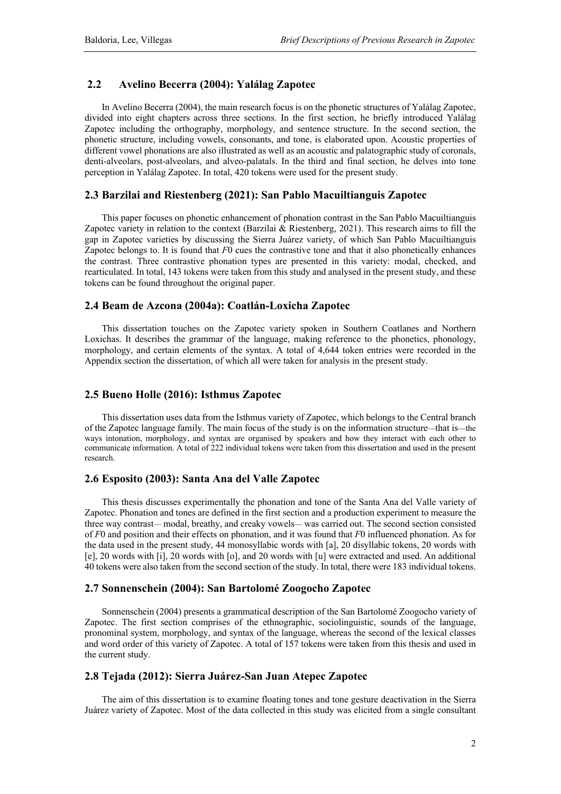#### **2.2 Avelino Becerra (2004): Yalálag Zapotec**

In Avelino Becerra (2004), the main research focus is on the phonetic structures of Yalálag Zapotec, divided into eight chapters across three sections. In the first section, he briefly introduced Yalálag Zapotec including the orthography, morphology, and sentence structure. In the second section, the phonetic structure, including vowels, consonants, and tone, is elaborated upon. Acoustic properties of different vowel phonations are also illustrated as well as an acoustic and palatographic study of coronals, denti-alveolars, post-alveolars, and alveo-palatals. In the third and final section, he delves into tone perception in Yalálag Zapotec. In total, 420 tokens were used for the present study.

### **2.3 Barzilai and Riestenberg (2021): San Pablo Macuiltianguis Zapotec**

This paper focuses on phonetic enhancement of phonation contrast in the San Pablo Macuiltianguis Zapotec variety in relation to the context (Barzilai & Riestenberg, 2021). This research aims to fill the gap in Zapotec varieties by discussing the Sierra Juárez variety, of which San Pablo Macuiltianguis Zapotec belongs to. It is found that *F*0 cues the contrastive tone and that it also phonetically enhances the contrast. Three contrastive phonation types are presented in this variety: modal, checked, and rearticulated. In total, 143 tokens were taken from this study and analysed in the present study, and these tokens can be found throughout the original paper.

# **2.4 Beam de Azcona (2004a): Coatlán-Loxicha Zapotec**

This dissertation touches on the Zapotec variety spoken in Southern Coatlanes and Northern Loxichas. It describes the grammar of the language, making reference to the phonetics, phonology, morphology, and certain elements of the syntax. A total of 4,644 token entries were recorded in the Appendix section the dissertation, of which all were taken for analysis in the present study.

#### **2.5 Bueno Holle (2016): Isthmus Zapotec**

This dissertation uses data from the Isthmus variety of Zapotec, which belongs to the Central branch of the Zapotec language family. The main focus of the study is on the information structure*—*that is*—*the ways intonation, morphology, and syntax are organised by speakers and how they interact with each other to communicate information. A total of 222 individual tokens were taken from this dissertation and used in the present research.

#### **2.6 Esposito (2003): Santa Ana del Valle Zapotec**

This thesis discusses experimentally the phonation and tone of the Santa Ana del Valle variety of Zapotec. Phonation and tones are defined in the first section and a production experiment to measure the three way contrast*—* modal, breathy, and creaky vowels*—* was carried out. The second section consisted of *F*0 and position and their effects on phonation, and it was found that *F*0 influenced phonation. As for the data used in the present study, 44 monosyllabic words with [a], 20 disyllabic tokens, 20 words with [e], 20 words with [i], 20 words with [o], and 20 words with [u] were extracted and used. An additional 40 tokens were also taken from the second section of the study. In total, there were 183 individual tokens.

#### **2.7 Sonnenschein (2004): San Bartolomé Zoogocho Zapotec**

Sonnenschein (2004) presents a grammatical description of the San Bartolomé Zoogocho variety of Zapotec. The first section comprises of the ethnographic, sociolinguistic, sounds of the language, pronominal system, morphology, and syntax of the language, whereas the second of the lexical classes and word order of this variety of Zapotec. A total of 157 tokens were taken from this thesis and used in the current study.

# **2.8 Tejada (2012): Sierra Juárez-San Juan Atepec Zapotec**

The aim of this dissertation is to examine floating tones and tone gesture deactivation in the Sierra Juárez variety of Zapotec. Most of the data collected in this study was elicited from a single consultant